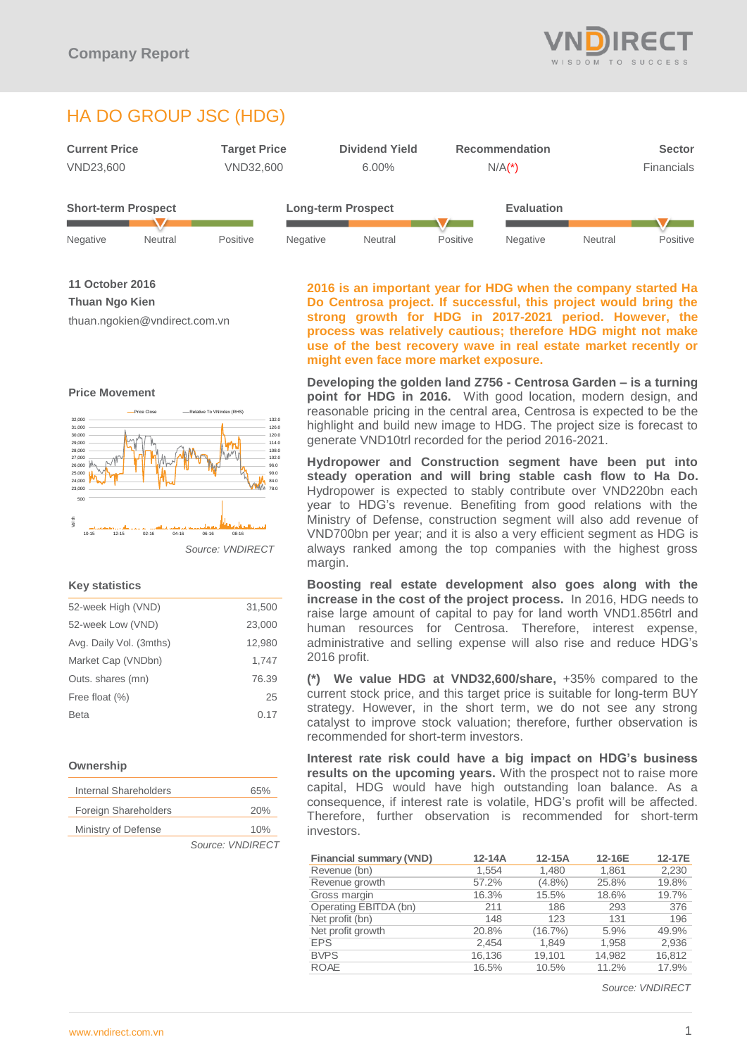

# HA DO GROUP JSC (HDG)



Negative Neutral Positive Negative Neutral Positive Negative Neutral Positive

**11 October 2016**

**Thuan Ngo Kien**

**Price Movement**

thuan.ngokien@vndirect.com.vn



*Source: VNDIRECT*

# **Key statistics**

| 52-week High (VND)      | 31,500 |
|-------------------------|--------|
| 52-week Low (VND)       | 23,000 |
| Avg. Daily Vol. (3mths) | 12,980 |
| Market Cap (VNDbn)      | 1.747  |
| Outs. shares (mn)       | 76.39  |
| Free float (%)          | 25     |
| Beta                    | 0.17   |
|                         |        |

# **Ownership**

| Internal Shareholders | 65%              |
|-----------------------|------------------|
| Foreign Shareholders  | 20%              |
| Ministry of Defense   | 10%              |
|                       | Source: VNDIRECT |

**2016 is an important year for HDG when the company started Ha Do Centrosa project. If successful, this project would bring the strong growth for HDG in 2017-2021 period. However, the process was relatively cautious; therefore HDG might not make use of the best recovery wave in real estate market recently or might even face more market exposure.**

**Developing the golden land Z756 - Centrosa Garden – is a turning point for HDG in 2016.** With good location, modern design, and reasonable pricing in the central area, Centrosa is expected to be the highlight and build new image to HDG. The project size is forecast to generate VND10trl recorded for the period 2016-2021.

**Hydropower and Construction segment have been put into steady operation and will bring stable cash flow to Ha Do.** Hydropower is expected to stably contribute over VND220bn each year to HDG's revenue. Benefiting from good relations with the Ministry of Defense, construction segment will also add revenue of VND700bn per year; and it is also a very efficient segment as HDG is always ranked among the top companies with the highest gross margin.

**Boosting real estate development also goes along with the increase in the cost of the project process.** In 2016, HDG needs to raise large amount of capital to pay for land worth VND1.856trl and human resources for Centrosa. Therefore, interest expense, administrative and selling expense will also rise and reduce HDG's 2016 profit.

**(\*) We value HDG at VND32,600/share,** +35% compared to the current stock price, and this target price is suitable for long-term BUY strategy. However, in the short term, we do not see any strong catalyst to improve stock valuation; therefore, further observation is recommended for short-term investors.

**Interest rate risk could have a big impact on HDG's business results on the upcoming years.** With the prospect not to raise more capital, HDG would have high outstanding loan balance. As a consequence, if interest rate is volatile, HDG's profit will be affected. Therefore, further observation is recommended for short-term investors.

| <b>Financial summary (VND)</b> | $12-14A$ | $12-15A$  | 12-16E | 12-17E |
|--------------------------------|----------|-----------|--------|--------|
| Revenue (bn)                   | 1.554    | 1,480     | 1.861  | 2,230  |
| Revenue growth                 | 57.2%    | $(4.8\%)$ | 25.8%  | 19.8%  |
| Gross margin                   | 16.3%    | 15.5%     | 18.6%  | 19.7%  |
| Operating EBITDA (bn)          | 211      | 186       | 293    | 376    |
| Net profit (bn)                | 148      | 123       | 131    | 196    |
| Net profit growth              | 20.8%    | (16.7%)   | 5.9%   | 49.9%  |
| <b>EPS</b>                     | 2.454    | 1.849     | 1,958  | 2,936  |
| <b>BVPS</b>                    | 16,136   | 19.101    | 14,982 | 16,812 |
| <b>ROAE</b>                    | 16.5%    | 10.5%     | 11.2%  | 17.9%  |

*Source: VNDIRECT*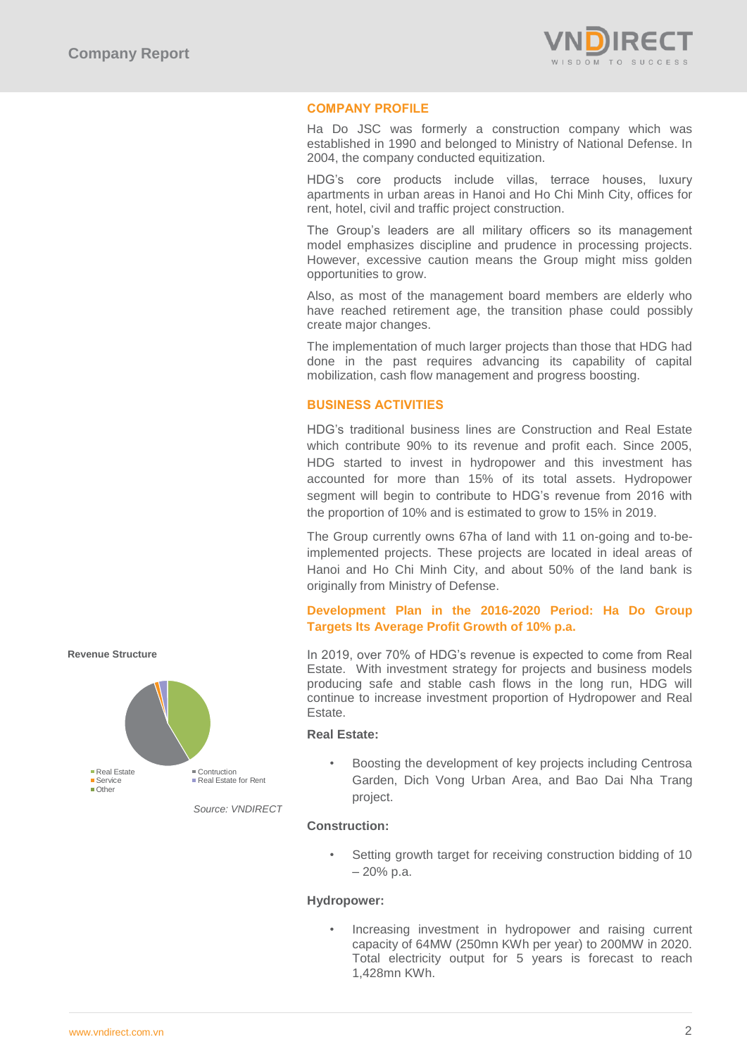

# **COMPANY PROFILE**

Ha Do JSC was formerly a construction company which was established in 1990 and belonged to Ministry of National Defense. In 2004, the company conducted equitization.

HDG's core products include villas, terrace houses, luxury apartments in urban areas in Hanoi and Ho Chi Minh City, offices for rent, hotel, civil and traffic project construction.

The Group's leaders are all military officers so its management model emphasizes discipline and prudence in processing projects. However, excessive caution means the Group might miss golden opportunities to grow.

Also, as most of the management board members are elderly who have reached retirement age, the transition phase could possibly create major changes.

The implementation of much larger projects than those that HDG had done in the past requires advancing its capability of capital mobilization, cash flow management and progress boosting.

# **BUSINESS ACTIVITIES**

HDG's traditional business lines are Construction and Real Estate which contribute 90% to its revenue and profit each. Since 2005, HDG started to invest in hydropower and this investment has accounted for more than 15% of its total assets. Hydropower segment will begin to contribute to HDG's revenue from 2016 with the proportion of 10% and is estimated to grow to 15% in 2019.

The Group currently owns 67ha of land with 11 on-going and to-beimplemented projects. These projects are located in ideal areas of Hanoi and Ho Chi Minh City, and about 50% of the land bank is originally from Ministry of Defense.

# **Development Plan in the 2016-2020 Period: Ha Do Group Targets Its Average Profit Growth of 10% p.a.**

In 2019, over 70% of HDG's revenue is expected to come from Real Estate. With investment strategy for projects and business models producing safe and stable cash flows in the long run, HDG will continue to increase investment proportion of Hydropower and Real Estate.

# **Real Estate:**

• Boosting the development of key projects including Centrosa Garden, Dich Vong Urban Area, and Bao Dai Nha Trang project.

### *Source: VNDIRECT*

Setting growth target for receiving construction bidding of 10 – 20% p.a.

### **Hydropower:**

**Construction:**

• Increasing investment in hydropower and raising current capacity of 64MW (250mn KWh per year) to 200MW in 2020. Total electricity output for 5 years is forecast to reach 1,428mn KWh.



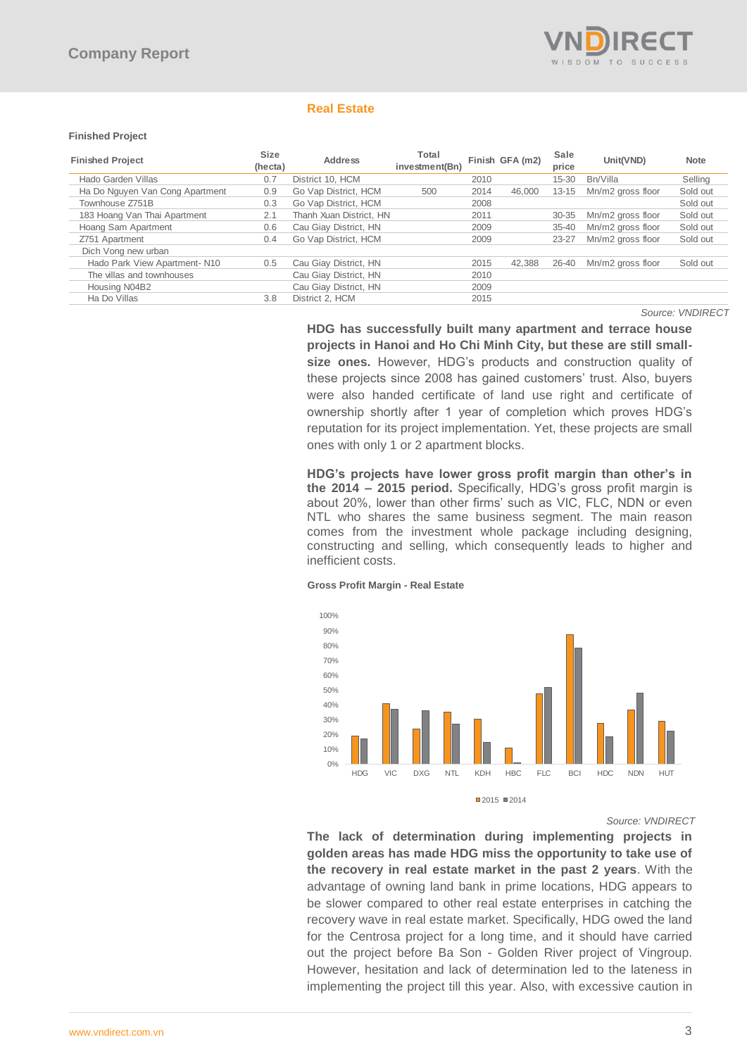

# **Real Estate**

### **Finished Project**

| <b>Finished Project</b>         | <b>Size</b><br>(hecta) | <b>Address</b>          | Total<br>investment(Bn) |      | Finish GFA (m2) | Sale<br>price | Unit(VND)         | <b>Note</b> |
|---------------------------------|------------------------|-------------------------|-------------------------|------|-----------------|---------------|-------------------|-------------|
| Hado Garden Villas              | 0.7                    | District 10. HCM        |                         | 2010 |                 | $15 - 30$     | Bn/Villa          | Selling     |
| Ha Do Nguyen Van Cong Apartment | 0.9                    | Go Vap District, HCM    | 500                     | 2014 | 46.000          | $13 - 15$     | Mn/m2 gross floor | Sold out    |
| Townhouse Z751B                 | 0.3                    | Go Vap District, HCM    |                         | 2008 |                 |               |                   | Sold out    |
| 183 Hoang Van Thai Apartment    | 2.1                    | Thanh Xuan District, HN |                         | 2011 |                 | $30 - 35$     | Mn/m2 gross floor | Sold out    |
| Hoang Sam Apartment             | 0.6                    | Cau Giav District. HN   |                         | 2009 |                 | $35 - 40$     | Mn/m2 gross floor | Sold out    |
| Z751 Apartment                  | 0.4                    | Go Vap District, HCM    |                         | 2009 |                 | 23-27         | Mn/m2 gross floor | Sold out    |
| Dich Vong new urban             |                        |                         |                         |      |                 |               |                   |             |
| Hado Park View Apartment-N10    | 0.5                    | Cau Giay District, HN   |                         | 2015 | 42.388          | 26-40         | Mn/m2 gross floor | Sold out    |
| The villas and townhouses       |                        | Cau Giay District, HN   |                         | 2010 |                 |               |                   |             |
| Housing N04B2                   |                        | Cau Giay District, HN   |                         | 2009 |                 |               |                   |             |
| Ha Do Villas                    | 3.8                    | District 2. HCM         |                         | 2015 |                 |               |                   |             |

 *Source: VNDIRECT*

**HDG has successfully built many apartment and terrace house projects in Hanoi and Ho Chi Minh City, but these are still smallsize ones.** However, HDG's products and construction quality of these projects since 2008 has gained customers' trust. Also, buyers were also handed certificate of land use right and certificate of ownership shortly after 1 year of completion which proves HDG's reputation for its project implementation. Yet, these projects are small ones with only 1 or 2 apartment blocks.

**HDG's projects have lower gross profit margin than other's in the 2014 – 2015 period.** Specifically, HDG's gross profit margin is about 20%, lower than other firms' such as VIC, FLC, NDN or even NTL who shares the same business segment. The main reason comes from the investment whole package including designing, constructing and selling, which consequently leads to higher and inefficient costs.

### **Gross Profit Margin - Real Estate**



*Source: VNDIRECT*

**The lack of determination during implementing projects in golden areas has made HDG miss the opportunity to take use of the recovery in real estate market in the past 2 years**. With the advantage of owning land bank in prime locations, HDG appears to be slower compared to other real estate enterprises in catching the recovery wave in real estate market. Specifically, HDG owed the land for the Centrosa project for a long time, and it should have carried out the project before Ba Son - Golden River project of Vingroup. However, hesitation and lack of determination led to the lateness in implementing the project till this year. Also, with excessive caution in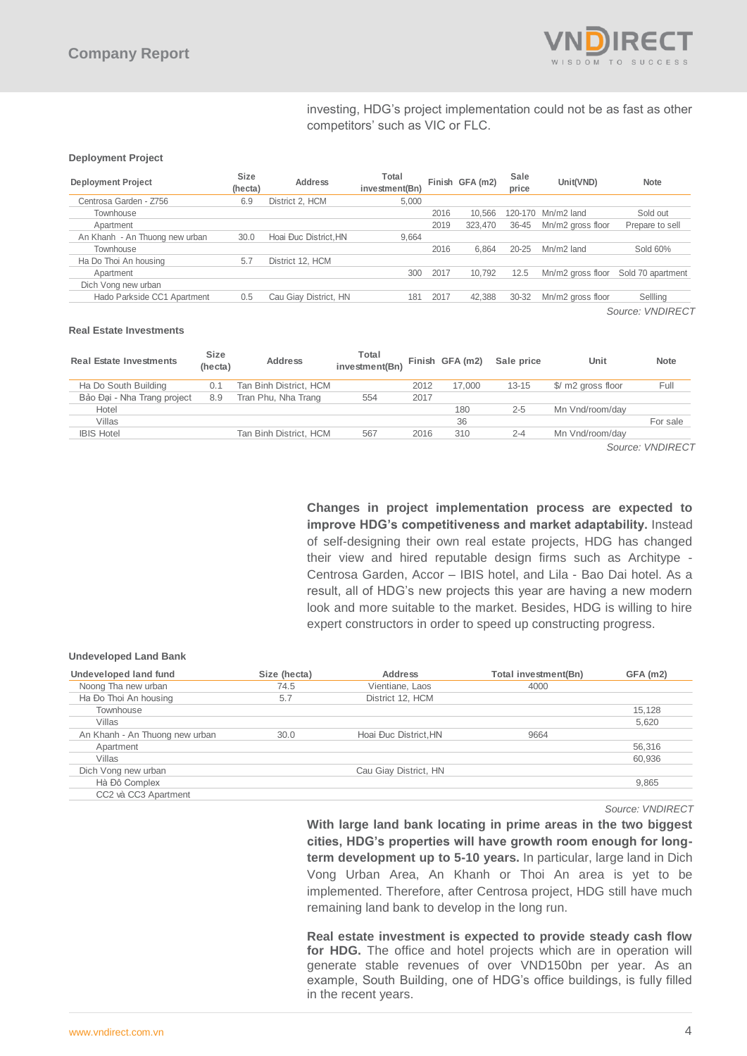

# investing, HDG's project implementation could not be as fast as other competitors' such as VIC or FLC.

### **Deployment Project**

| <b>Deployment Project</b>      | <b>Size</b><br>(hecta) | <b>Address</b>        | Total<br>investment(Bn) |      | Finish GFA (m2) | Sale<br>price | Unit(VND)         | <b>Note</b>             |
|--------------------------------|------------------------|-----------------------|-------------------------|------|-----------------|---------------|-------------------|-------------------------|
| Centrosa Garden - Z756         | 6.9                    | District 2. HCM       | 5,000                   |      |                 |               |                   |                         |
| Townhouse                      |                        |                       |                         | 2016 | 10.566          | 120-170       | Mn/m2 land        | Sold out                |
| Apartment                      |                        |                       |                         | 2019 | 323.470         | 36-45         | Mn/m2 gross floor | Prepare to sell         |
| An Khanh - An Thuong new urban | 30.0                   | Hoai Đục District.HN  | 9.664                   |      |                 |               |                   |                         |
| Townhouse                      |                        |                       |                         | 2016 | 6.864           | $20 - 25$     | Mn/m2 land        | Sold 60%                |
| Ha Do Thoi An housing          | 5.7                    | District 12. HCM      |                         |      |                 |               |                   |                         |
| Apartment                      |                        |                       | 300                     | 2017 | 10.792          | 12.5          | Mn/m2 gross floor | Sold 70 apartment       |
| Dich Vong new urban            |                        |                       |                         |      |                 |               |                   |                         |
| Hado Parkside CC1 Apartment    | 0.5                    | Cau Giay District, HN | 181                     | 2017 | 42,388          | $30 - 32$     | Mn/m2 gross floor | Sellling                |
|                                |                        |                       |                         |      |                 |               |                   | Source: <i>VNDIRFCT</i> |

### **Real Estate Investments**

| <b>Real Estate Investments</b> | <b>Size</b><br>(hecta) | <b>Address</b>         | Total<br>investment(Bn) |      | Finish GFA (m2) | Sale price | Unit               | <b>Note</b> |
|--------------------------------|------------------------|------------------------|-------------------------|------|-----------------|------------|--------------------|-------------|
| Ha Do South Building           | 0.1                    | Tan Binh District, HCM |                         | 2012 | 17.000          | $13 - 15$  | \$/ m2 gross floor | Full        |
| Bảo Đai - Nha Trang project    | 8.9                    | Tran Phu, Nha Trang    | 554                     | 2017 |                 |            |                    |             |
| Hotel                          |                        |                        |                         |      | 180             | $2 - 5$    | Mn Vnd/room/dav    |             |
| Villas                         |                        |                        |                         |      | 36              |            |                    | For sale    |
| <b>IBIS Hotel</b>              |                        | Tan Binh District, HCM | 567                     | 2016 | 310             | $2 - 4$    | Mn Vnd/room/dav    |             |

*Source: VNDIRECT*

**Changes in project implementation process are expected to improve HDG's competitiveness and market adaptability.** Instead of self-designing their own real estate projects, HDG has changed their view and hired reputable design firms such as Architype - Centrosa Garden, Accor – IBIS hotel, and Lila - Bao Dai hotel. As a result, all of HDG's new projects this year are having a new modern look and more suitable to the market. Besides, HDG is willing to hire expert constructors in order to speed up constructing progress.

#### **Undeveloped Land Bank**

| Undeveloped land fund          | Size (hecta) | Address               | <b>Total investment(Bn)</b> | GFA (m2) |
|--------------------------------|--------------|-----------------------|-----------------------------|----------|
| Noong Tha new urban            | 74.5         | Vientiane, Laos       | 4000                        |          |
| Ha Đo Thoi An housing          | 5.7          | District 12, HCM      |                             |          |
| Townhouse                      |              |                       |                             | 15,128   |
| Villas                         |              |                       |                             | 5,620    |
| An Khanh - An Thuong new urban | 30.0         | Hoai Đục District, HN | 9664                        |          |
| Apartment                      |              |                       |                             | 56,316   |
| Villas                         |              |                       |                             | 60,936   |
| Dich Vong new urban            |              | Cau Giay District, HN |                             |          |
| Hà Đô Complex                  |              |                       |                             | 9,865    |
| CC2 và CC3 Apartment           |              |                       |                             |          |

*Source: VNDIRECT*

**With large land bank locating in prime areas in the two biggest cities, HDG's properties will have growth room enough for longterm development up to 5-10 years.** In particular, large land in Dich Vong Urban Area, An Khanh or Thoi An area is yet to be implemented. Therefore, after Centrosa project, HDG still have much remaining land bank to develop in the long run.

**Real estate investment is expected to provide steady cash flow**  for HDG. The office and hotel projects which are in operation will generate stable revenues of over VND150bn per year. As an example, South Building, one of HDG's office buildings, is fully filled in the recent years.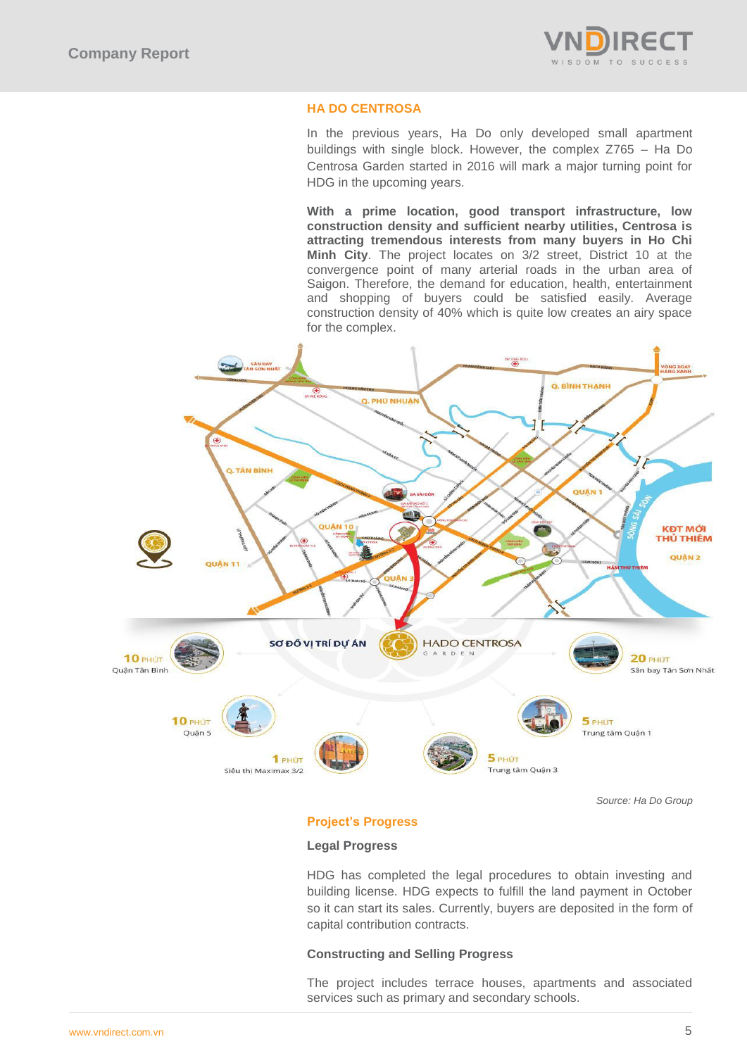

# **HA DO CENTROSA**

In the previous years, Ha Do only developed small apartment buildings with single block. However, the complex Z765 – Ha Do Centrosa Garden started in 2016 will mark a major turning point for HDG in the upcoming years.

**With a prime location, good transport infrastructure, low construction density and sufficient nearby utilities, Centrosa is attracting tremendous interests from many buyers in Ho Chi Minh City**. The project locates on 3/2 street, District 10 at the convergence point of many arterial roads in the urban area of Saigon. Therefore, the demand for education, health, entertainment and shopping of buyers could be satisfied easily. Average construction density of 40% which is quite low creates an airy space for the complex.



*Source: Ha Do Group*

# **Project's Progress**

### **Legal Progress**

HDG has completed the legal procedures to obtain investing and building license. HDG expects to fulfill the land payment in October so it can start its sales. Currently, buyers are deposited in the form of capital contribution contracts.

# **Constructing and Selling Progress**

The project includes terrace houses, apartments and associated services such as primary and secondary schools.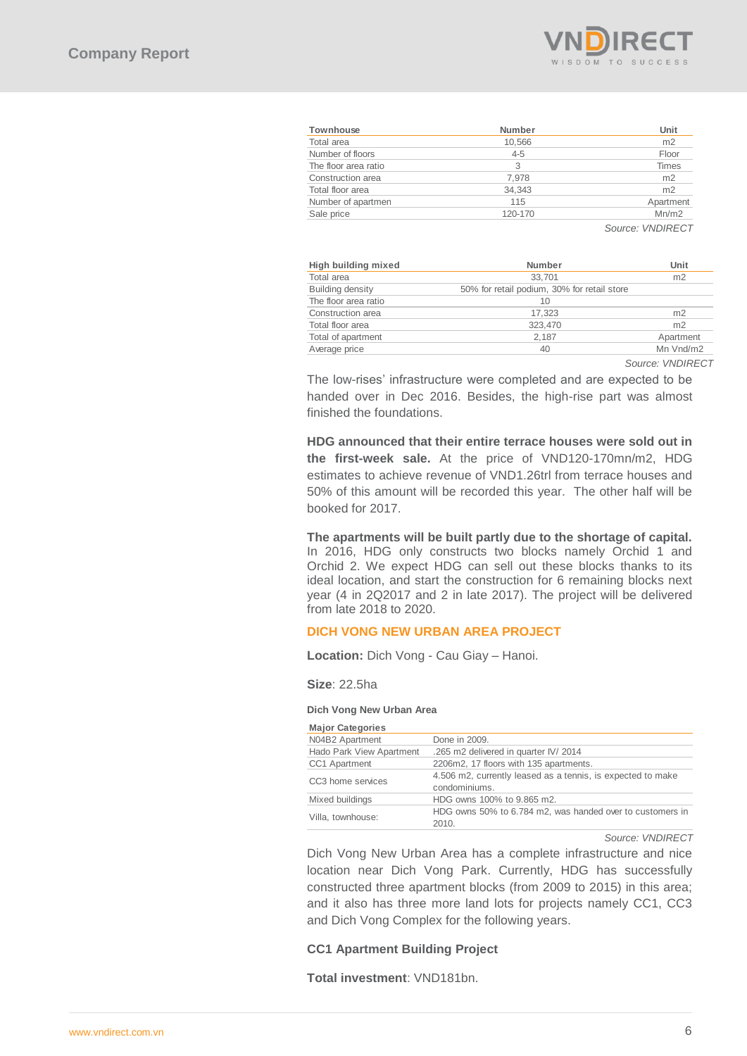

| Townhouse            | <b>Number</b> | Unit           |
|----------------------|---------------|----------------|
| Total area           | 10.566        | m <sub>2</sub> |
| Number of floors     | $4 - 5$       | Floor          |
| The floor area ratio | 3             | Times          |
| Construction area    | 7.978         | m <sub>2</sub> |
| Total floor area     | 34.343        | m <sub>2</sub> |
| Number of apartmen   | 115           | Apartment      |
| Sale price           | 120-170       | Mn/m2          |

| High building mixed     | Number                                      | Unit           |
|-------------------------|---------------------------------------------|----------------|
| Total area              | 33.701                                      | m <sub>2</sub> |
| <b>Building density</b> | 50% for retail podium, 30% for retail store |                |
| The floor area ratio    | 10                                          |                |
| Construction area       | 17.323                                      | m <sub>2</sub> |
| Total floor area        | 323.470                                     | m <sub>2</sub> |
| Total of apartment      | 2.187                                       | Apartment      |
| Average price           | 40                                          | Mn Vnd/m2      |

*Source: VNDIRECT*

# **DICH VONG NEW URBAN AREA PROJECT**

#### **Dich Vong New Urban Area**

| <b>Townhouse</b>                                    | Number                                                                                                                                                                                                                                                                                                                                                  | Unit                     |
|-----------------------------------------------------|---------------------------------------------------------------------------------------------------------------------------------------------------------------------------------------------------------------------------------------------------------------------------------------------------------------------------------------------------------|--------------------------|
| Total area                                          | 10,566                                                                                                                                                                                                                                                                                                                                                  | m2                       |
| Number of floors                                    | $4 - 5$                                                                                                                                                                                                                                                                                                                                                 | Floor                    |
| The floor area ratio                                | 3                                                                                                                                                                                                                                                                                                                                                       | <b>Times</b>             |
| Construction area                                   | 7,978                                                                                                                                                                                                                                                                                                                                                   | m <sub>2</sub>           |
| Total floor area                                    | 34,343                                                                                                                                                                                                                                                                                                                                                  | m <sub>2</sub>           |
| Number of apartmen<br>Sale price                    | 115<br>120-170                                                                                                                                                                                                                                                                                                                                          | Apartment<br>Mn/m2       |
|                                                     |                                                                                                                                                                                                                                                                                                                                                         |                          |
| <b>High building mixed</b>                          | Number                                                                                                                                                                                                                                                                                                                                                  | Source: VNDIRECT<br>Unit |
| Total area                                          | 33,701                                                                                                                                                                                                                                                                                                                                                  | m2                       |
| <b>Building density</b>                             | 50% for retail podium, 30% for retail store                                                                                                                                                                                                                                                                                                             |                          |
| The floor area ratio                                | 10                                                                                                                                                                                                                                                                                                                                                      |                          |
| Construction area                                   | 17,323                                                                                                                                                                                                                                                                                                                                                  | m <sub>2</sub>           |
| Total floor area                                    | 323,470                                                                                                                                                                                                                                                                                                                                                 | m <sub>2</sub>           |
| Total of apartment                                  | 2,187                                                                                                                                                                                                                                                                                                                                                   | Apartmer                 |
| Average price                                       | 40                                                                                                                                                                                                                                                                                                                                                      | Mn Vnd/n                 |
| finished the foundations.                           | The low-rises' infrastructure were completed and are expected to be<br>handed over in Dec 2016. Besides, the high-rise part was almost                                                                                                                                                                                                                  | Source: VNDIR            |
| booked for 2017.                                    | HDG announced that their entire terrace houses were sold out in<br>the first-week sale. At the price of VND120-170mn/m2, HDG<br>estimates to achieve revenue of VND1.26trl from terrace houses and<br>50% of this amount will be recorded this year. The other half will be                                                                             |                          |
| from late 2018 to 2020.                             | The apartments will be built partly due to the shortage of capital.<br>In 2016, HDG only constructs two blocks namely Orchid 1 and<br>Orchid 2. We expect HDG can sell out these blocks thanks to its<br>ideal location, and start the construction for 6 remaining blocks next<br>year (4 in 2Q2017 and 2 in late 2017). The project will be delivered |                          |
|                                                     | <b>DICH VONG NEW URBAN AREA PROJECT</b>                                                                                                                                                                                                                                                                                                                 |                          |
| <b>Location:</b> Dich Vong - Cau Giay - Hanoi.      |                                                                                                                                                                                                                                                                                                                                                         |                          |
| Size: 22.5ha                                        |                                                                                                                                                                                                                                                                                                                                                         |                          |
| Dich Vong New Urban Area<br><b>Major Categories</b> |                                                                                                                                                                                                                                                                                                                                                         |                          |
| N04B2 Apartment                                     | Done in 2009.                                                                                                                                                                                                                                                                                                                                           |                          |
| Hado Park View Apartment                            | .265 m2 delivered in quarter IV/ 2014                                                                                                                                                                                                                                                                                                                   |                          |
| CC1 Apartment                                       | 2206m2, 17 floors with 135 apartments.                                                                                                                                                                                                                                                                                                                  |                          |
| CC3 home services                                   | 4.506 m2, currently leased as a tennis, is expected to make<br>condominiums.                                                                                                                                                                                                                                                                            |                          |
| Mixed buildings                                     | HDG owns 100% to 9.865 m2.                                                                                                                                                                                                                                                                                                                              |                          |
| Villa, townhouse:                                   | HDG owns 50% to 6.784 m2, was handed over to customers in                                                                                                                                                                                                                                                                                               |                          |
|                                                     | 2010.                                                                                                                                                                                                                                                                                                                                                   |                          |
|                                                     | Dich Vong New Urban Area has a complete infrastructure and nice<br>location near Dich Vong Park. Currently, HDG has successfully<br>constructed three apartment blocks (from 2009 to 2015) in this area;<br>and it also has three more land lots for projects namely CC1, CC3<br>and Dich Vong Complex for the following years.                         | Source: VNDIRECT         |
| <b>CC1 Apartment Building Project</b>               |                                                                                                                                                                                                                                                                                                                                                         |                          |
| Total investment: VND181bn.                         |                                                                                                                                                                                                                                                                                                                                                         |                          |

### **CC1 Apartment Building Project**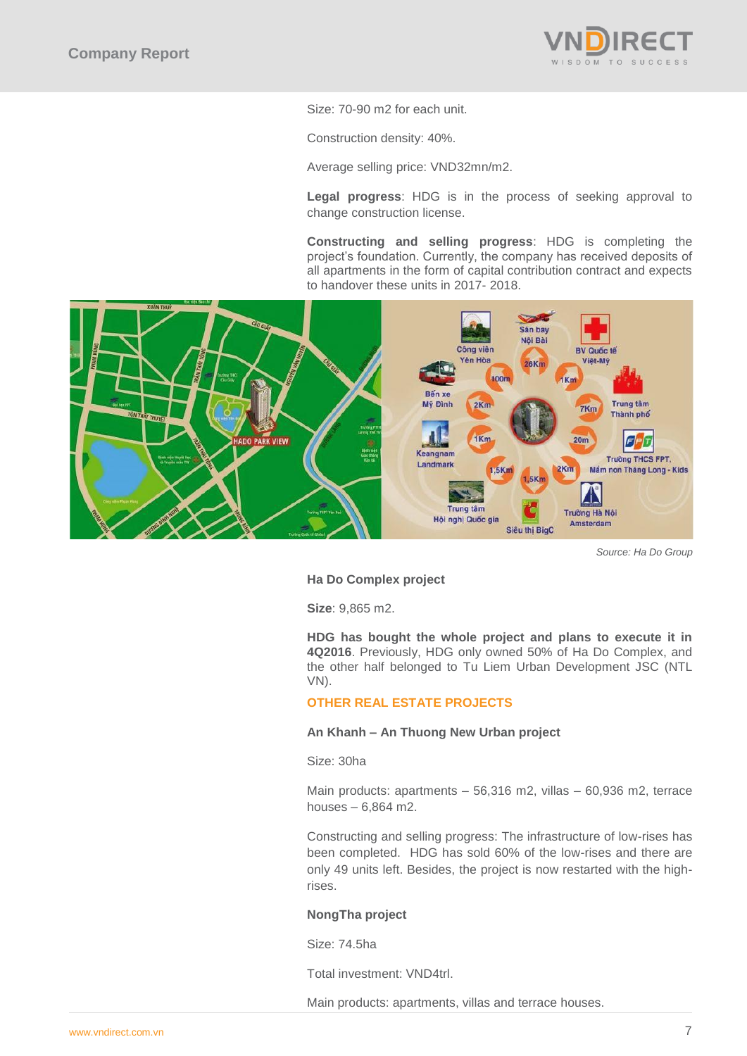

Size: 70-90 m2 for each unit.

Construction density: 40%.

Average selling price: VND32mn/m2.

**Legal progress**: HDG is in the process of seeking approval to change construction license.

**Constructing and selling progress**: HDG is completing the project's foundation. Currently, the company has received deposits of all apartments in the form of capital contribution contract and expects to handover these units in 2017- 2018.



*Source: Ha Do Group*

# **Ha Do Complex project**

**Size**: 9,865 m2.

**HDG has bought the whole project and plans to execute it in 4Q2016**. Previously, HDG only owned 50% of Ha Do Complex, and the other half belonged to Tu Liem Urban Development JSC (NTL VN).

# **OTHER REAL ESTATE PROJECTS**

# **An Khanh – An Thuong New Urban project**

Size: 30ha

Main products: apartments – 56,316 m2, villas – 60,936 m2, terrace houses – 6,864 m2.

Constructing and selling progress: The infrastructure of low-rises has been completed. HDG has sold 60% of the low-rises and there are only 49 units left. Besides, the project is now restarted with the highrises.

### **NongTha project**

Size: 74.5ha

Total investment: VND4trl.

Main products: apartments, villas and terrace houses.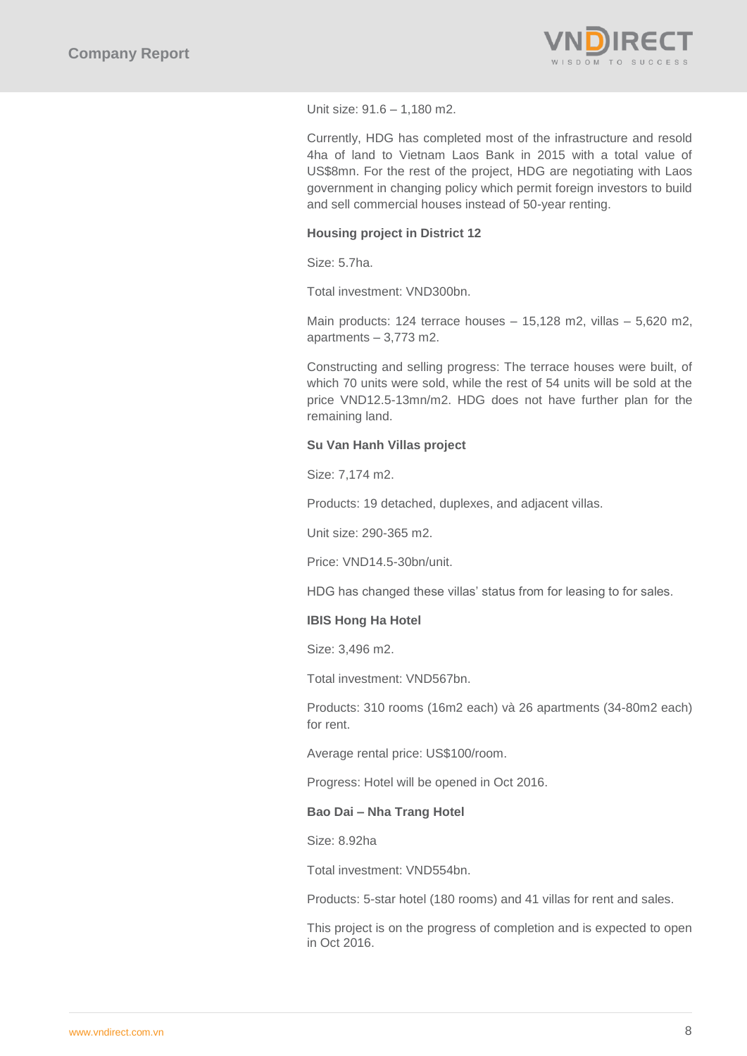

Unit size: 91.6 – 1,180 m2.

Currently, HDG has completed most of the infrastructure and resold 4ha of land to Vietnam Laos Bank in 2015 with a total value of US\$8mn. For the rest of the project, HDG are negotiating with Laos government in changing policy which permit foreign investors to build and sell commercial houses instead of 50-year renting.

# **Housing project in District 12**

Size: 5.7ha.

Total investment: VND300bn.

Main products: 124 terrace houses – 15,128 m2, villas – 5,620 m2, apartments – 3,773 m2.

Constructing and selling progress: The terrace houses were built, of which 70 units were sold, while the rest of 54 units will be sold at the price VND12.5-13mn/m2. HDG does not have further plan for the remaining land.

# **Su Van Hanh Villas project**

Size: 7,174 m2.

Products: 19 detached, duplexes, and adjacent villas.

Unit size: 290-365 m2.

Price: VND14.5-30bn/unit.

HDG has changed these villas' status from for leasing to for sales.

# **IBIS Hong Ha Hotel**

Size: 3,496 m2.

Total investment: VND567bn.

Products: 310 rooms (16m2 each) và 26 apartments (34-80m2 each) for rent.

Average rental price: US\$100/room.

Progress: Hotel will be opened in Oct 2016.

### **Bao Dai – Nha Trang Hotel**

Size: 8.92ha

Total investment: VND554bn.

Products: 5-star hotel (180 rooms) and 41 villas for rent and sales.

This project is on the progress of completion and is expected to open in Oct 2016.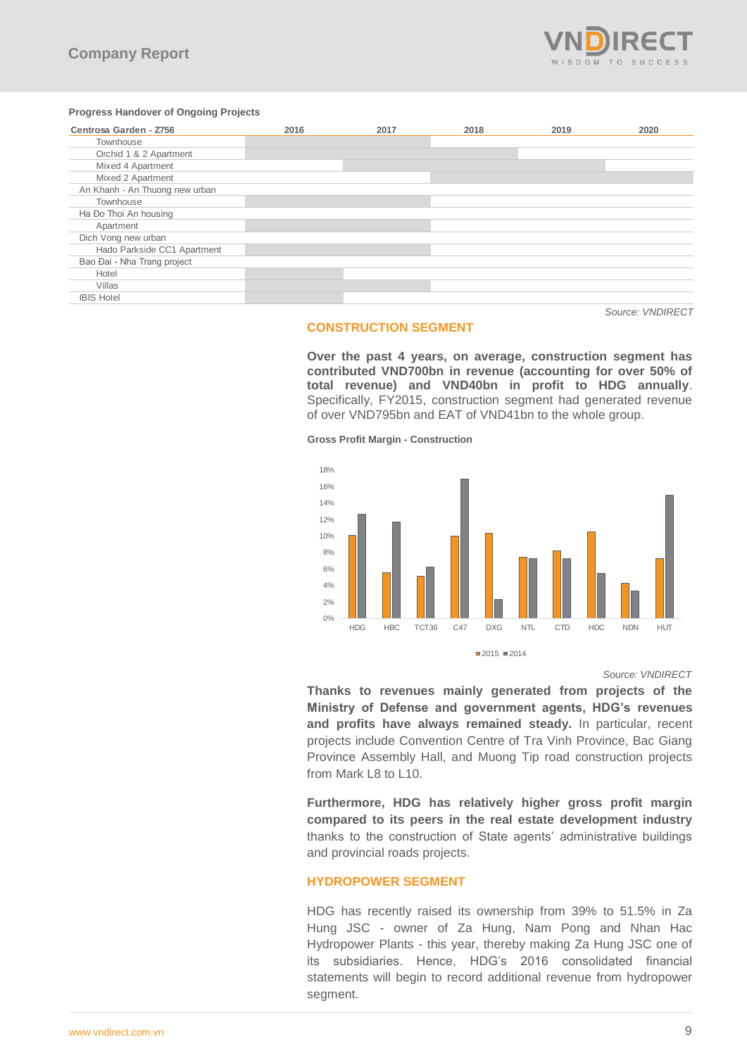

### **Progress Handover of Ongoing Projects**

| Centrosa Garden - Z756         | 2016 | 2017 | 2018 | 2019 | 2020 |
|--------------------------------|------|------|------|------|------|
| Townhouse                      |      |      |      |      |      |
| Orchid 1 & 2 Apartment         |      |      |      |      |      |
| Mixed 4 Apartment              |      |      |      |      |      |
| Mixed 2 Apartment              |      |      |      |      |      |
| An Khanh - An Thuong new urban |      |      |      |      |      |
| Townhouse                      |      |      |      |      |      |
| Ha Đo Thoi An housing          |      |      |      |      |      |
| Apartment                      |      |      |      |      |      |
| Dich Vong new urban            |      |      |      |      |      |
| Hado Parkside CC1 Apartment    |      |      |      |      |      |
| Bao Đai - Nha Trang project    |      |      |      |      |      |
| Hotel                          |      |      |      |      |      |
| Villas                         |      |      |      |      |      |
| <b>IBIS Hotel</b>              |      |      |      |      |      |

### **CONSTRUCTION SEGMENT**

**Over the past 4 years, on average, construction segment has contributed VND700bn in revenue (accounting for over 50% of total revenue) and VND40bn in profit to HDG annually**. Specifically, FY2015, construction segment had generated revenue of over VND795bn and EAT of VND41bn to the whole group.

**Gross Profit Margin - Construction**



### **Source: VNDIRECT**

*Source: VNDIRECT*

**Thanks to revenues mainly generated from projects of the Ministry of Defense and government agents, HDG's revenues and profits have always remained steady.** In particular, recent projects include Convention Centre of Tra Vinh Province, Bac Giang Province Assembly Hall, and Muong Tip road construction projects from Mark L8 to L10.

**Furthermore, HDG has relatively higher gross profit margin compared to its peers in the real estate development industry** thanks to the construction of State agents' administrative buildings and provincial roads projects.

# **HYDROPOWER SEGMENT**

HDG has recently raised its ownership from 39% to 51.5% in Za Hung JSC - owner of Za Hung, Nam Pong and Nhan Hac Hydropower Plants - this year, thereby making Za Hung JSC one of its subsidiaries. Hence, HDG's 2016 consolidated financial statements will begin to record additional revenue from hydropower segment.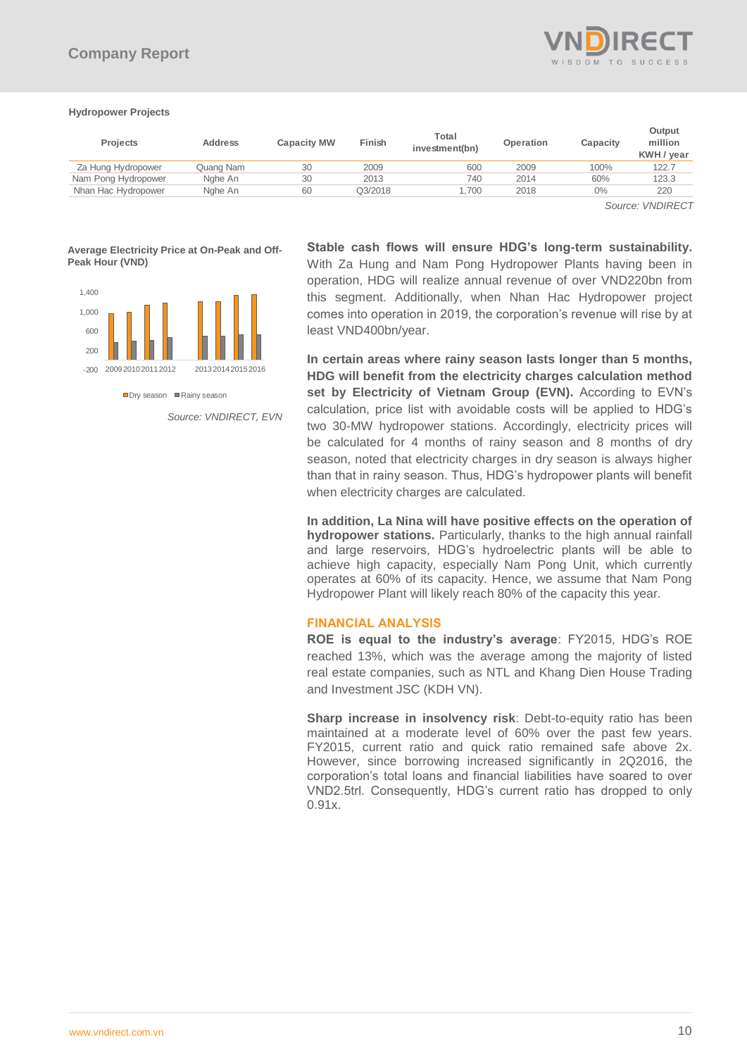

### **Hydropower Projects**

| <b>Projects</b>     | <b>Address</b> | <b>Capacity MW</b> | Finish  | Total<br>investment(bn) | Operation | Capacity | Output<br>million<br>KWH / year |
|---------------------|----------------|--------------------|---------|-------------------------|-----------|----------|---------------------------------|
| Za Hung Hydropower  | Quang Nam      | 30                 | 2009    | 600                     | 2009      | 100%     | 122.7                           |
| Nam Pong Hydropower | Nahe An        | 30                 | 2013    | 740                     | 2014      | 60%      | 123.3                           |
| Nhan Hac Hydropower | Nahe An        | 60                 | Q3/2018 | .700                    | 2018      | $0\%$    | 220                             |

 *Source: VNDIRECT*

**Average Electricity Price at On-Peak and Off-Peak Hour (VND)**



 $\n **Div** season **Example 2** Rainv season$ 

*Source: VNDIRECT, EVN*

**Stable cash flows will ensure HDG's long-term sustainability.** With Za Hung and Nam Pong Hydropower Plants having been in operation, HDG will realize annual revenue of over VND220bn from this segment. Additionally, when Nhan Hac Hydropower project comes into operation in 2019, the corporation's revenue will rise by at least VND400bn/year.

**In certain areas where rainy season lasts longer than 5 months, HDG will benefit from the electricity charges calculation method**  set by Electricity of Vietnam Group (EVN). According to EVN's calculation, price list with avoidable costs will be applied to HDG's two 30-MW hydropower stations. Accordingly, electricity prices will be calculated for 4 months of rainy season and 8 months of dry season, noted that electricity charges in dry season is always higher than that in rainy season. Thus, HDG's hydropower plants will benefit when electricity charges are calculated.

**In addition, La Nina will have positive effects on the operation of hydropower stations.** Particularly, thanks to the high annual rainfall and large reservoirs, HDG's hydroelectric plants will be able to achieve high capacity, especially Nam Pong Unit, which currently operates at 60% of its capacity. Hence, we assume that Nam Pong Hydropower Plant will likely reach 80% of the capacity this year.

# **FINANCIAL ANALYSIS**

**ROE is equal to the industry's average**: FY2015, HDG's ROE reached 13%, which was the average among the majority of listed real estate companies, such as NTL and Khang Dien House Trading and Investment JSC (KDH VN).

**Sharp increase in insolvency risk**: Debt-to-equity ratio has been maintained at a moderate level of 60% over the past few years. FY2015, current ratio and quick ratio remained safe above 2x. However, since borrowing increased significantly in 2Q2016, the corporation's total loans and financial liabilities have soared to over VND2.5trl. Consequently, HDG's current ratio has dropped to only 0.91x.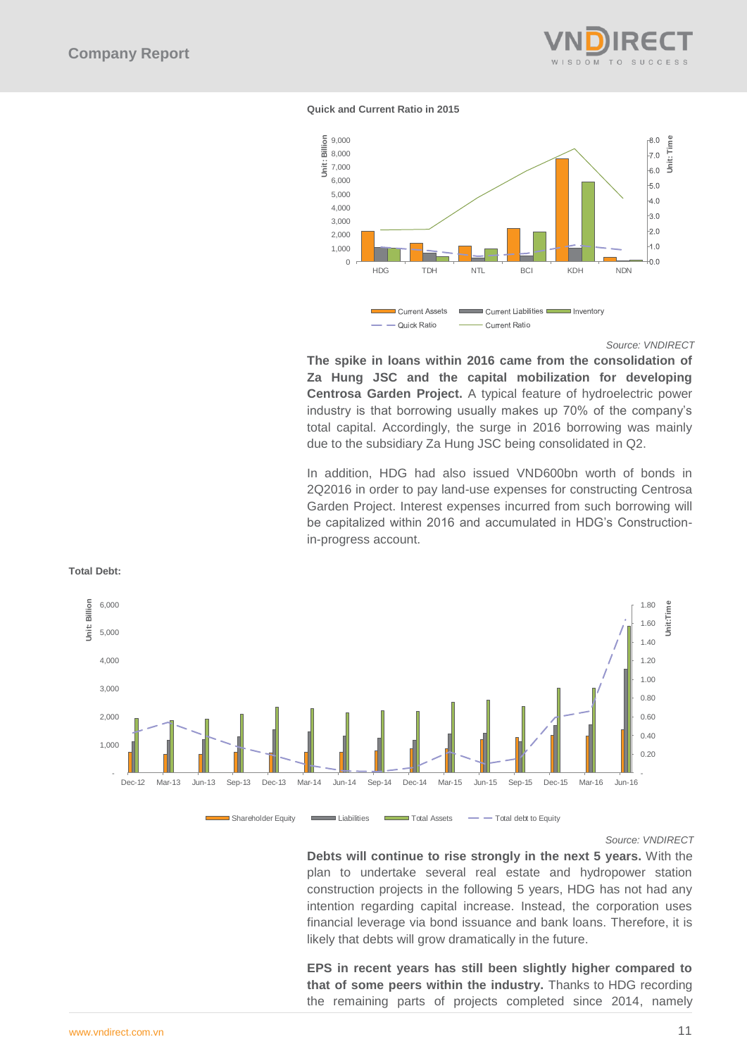

### **Quick and Current Ratio in 2015**



### *Source: VNDIRECT*

**The spike in loans within 2016 came from the consolidation of Za Hung JSC and the capital mobilization for developing Centrosa Garden Project.** A typical feature of hydroelectric power industry is that borrowing usually makes up 70% of the company's total capital. Accordingly, the surge in 2016 borrowing was mainly due to the subsidiary Za Hung JSC being consolidated in Q2.

In addition, HDG had also issued VND600bn worth of bonds in 2Q2016 in order to pay land-use expenses for constructing Centrosa Garden Project. Interest expenses incurred from such borrowing will be capitalized within 2016 and accumulated in HDG's Constructionin-progress account.



# **Total Debt:**

*Source: VNDIRECT*

**Debts will continue to rise strongly in the next 5 years.** With the plan to undertake several real estate and hydropower station construction projects in the following 5 years, HDG has not had any intention regarding capital increase. Instead, the corporation uses financial leverage via bond issuance and bank loans. Therefore, it is likely that debts will grow dramatically in the future.

**EPS in recent years has still been slightly higher compared to that of some peers within the industry.** Thanks to HDG recording the remaining parts of projects completed since 2014, namely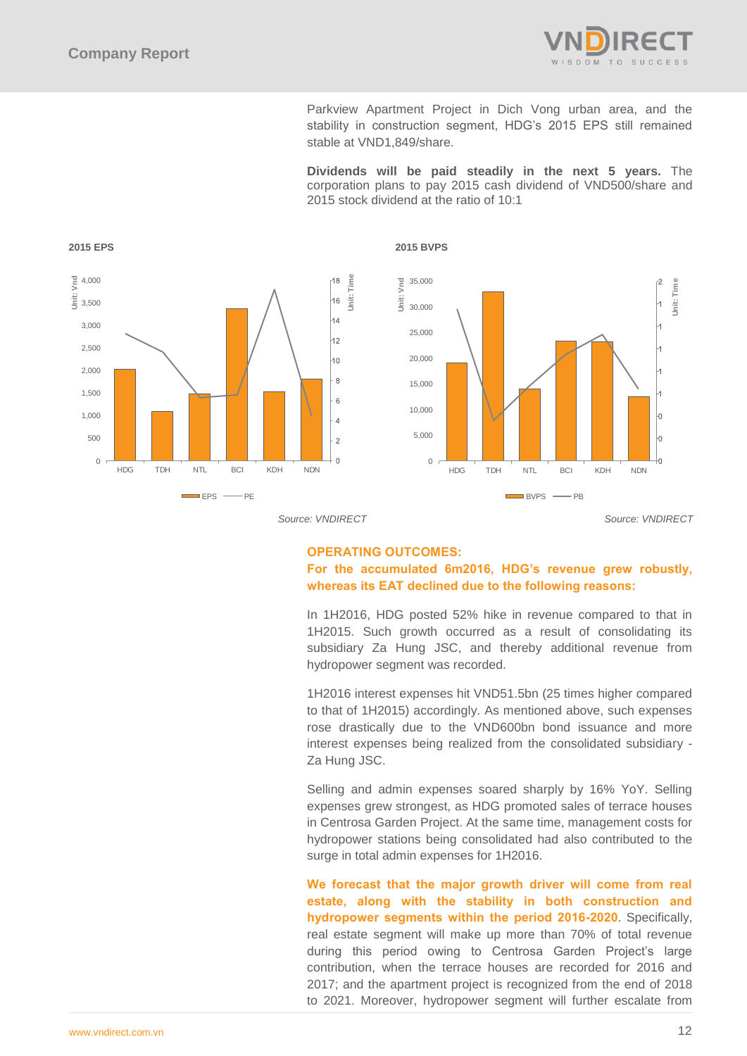

Parkview Apartment Project in Dich Vong urban area, and the stability in construction segment, HDG's 2015 EPS still remained stable at VND1,849/share.

**Dividends will be paid steadily in the next 5 years.** The corporation plans to pay 2015 cash dividend of VND500/share and 2015 stock dividend at the ratio of 10:1



*Source: VNDIRECT Source: VNDIRECT*

# **OPERATING OUTCOMES:**

# **For the accumulated 6m2016, HDG's revenue grew robustly, whereas its EAT declined due to the following reasons:**

In 1H2016, HDG posted 52% hike in revenue compared to that in 1H2015. Such growth occurred as a result of consolidating its subsidiary Za Hung JSC, and thereby additional revenue from hydropower segment was recorded.

1H2016 interest expenses hit VND51.5bn (25 times higher compared to that of 1H2015) accordingly. As mentioned above, such expenses rose drastically due to the VND600bn bond issuance and more interest expenses being realized from the consolidated subsidiary - Za Hung JSC.

Selling and admin expenses soared sharply by 16% YoY. Selling expenses grew strongest, as HDG promoted sales of terrace houses in Centrosa Garden Project. At the same time, management costs for hydropower stations being consolidated had also contributed to the surge in total admin expenses for 1H2016.

**We forecast that the major growth driver will come from real estate, along with the stability in both construction and hydropower segments within the period 2016-2020**. Specifically, real estate segment will make up more than 70% of total revenue during this period owing to Centrosa Garden Project's large contribution, when the terrace houses are recorded for 2016 and 2017; and the apartment project is recognized from the end of 2018 to 2021. Moreover, hydropower segment will further escalate from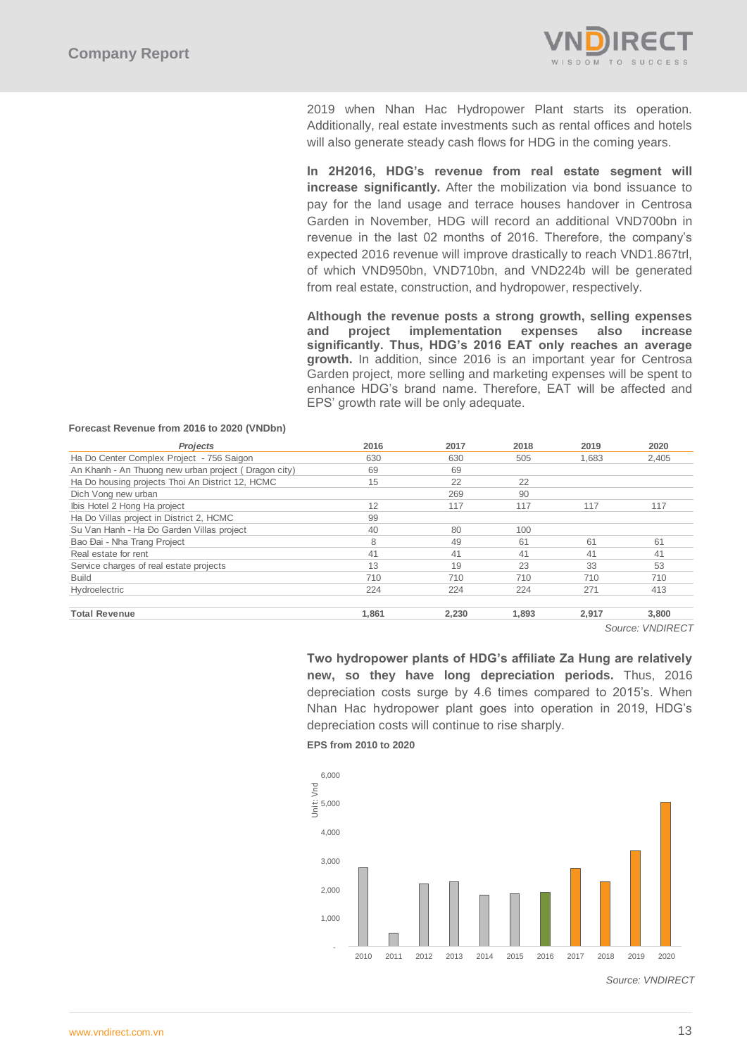

2019 when Nhan Hac Hydropower Plant starts its operation. Additionally, real estate investments such as rental offices and hotels will also generate steady cash flows for HDG in the coming years.

**In 2H2016, HDG's revenue from real estate segment will increase significantly.** After the mobilization via bond issuance to pay for the land usage and terrace houses handover in Centrosa Garden in November, HDG will record an additional VND700bn in revenue in the last 02 months of 2016. Therefore, the company's expected 2016 revenue will improve drastically to reach VND1.867trl, of which VND950bn, VND710bn, and VND224b will be generated from real estate, construction, and hydropower, respectively.

**Although the revenue posts a strong growth, selling expenses and project implementation expenses also increase significantly. Thus, HDG's 2016 EAT only reaches an average growth.** In addition, since 2016 is an important year for Centrosa Garden project, more selling and marketing expenses will be spent to enhance HDG's brand name. Therefore, EAT will be affected and EPS' growth rate will be only adequate.

| 2016<br>2017<br>2018<br>2019<br>2020      | Projects                                             |
|-------------------------------------------|------------------------------------------------------|
| 2,405<br>630<br>630<br>505<br>1.683       | Ha Do Center Complex Project - 756 Saigon            |
| 69<br>69                                  | An Khanh - An Thuong new urban project (Dragon city) |
| 15<br>22<br>22                            | Ha Do housing projects Thoi An District 12, HCMC     |
| 269<br>90                                 | Dich Vong new urban                                  |
| 12<br>117<br>117<br>117<br>117            | Ibis Hotel 2 Hong Ha project                         |
| 99                                        | Ha Do Villas project in District 2, HCMC             |
| 40<br>80<br>100                           | Su Van Hanh - Ha Đo Garden Villas project            |
| 8<br>61<br>61<br>61<br>49                 | Bao Đai - Nha Trang Project                          |
| 41<br>41<br>41<br>41<br>41                | Real estate for rent                                 |
| 13<br>33<br>19<br>23<br>53                | Service charges of real estate projects              |
| 710<br>710<br>710<br>710<br>710           |                                                      |
| 224<br>413<br>224<br>224<br>271           | Hydroelectric                                        |
| 1,861<br>2,230<br>1,893<br>3.800<br>2,917 | <b>Total Revenue</b>                                 |
|                                           |                                                      |

### **Forecast Revenue from 2016 to 2020 (VNDbn)**

 *Source: VNDIRECT*

**Two hydropower plants of HDG's affiliate Za Hung are relatively new, so they have long depreciation periods.** Thus, 2016 depreciation costs surge by 4.6 times compared to 2015's. When Nhan Hac hydropower plant goes into operation in 2019, HDG's depreciation costs will continue to rise sharply.

**EPS from 2010 to 2020**



*Source: VNDIRECT*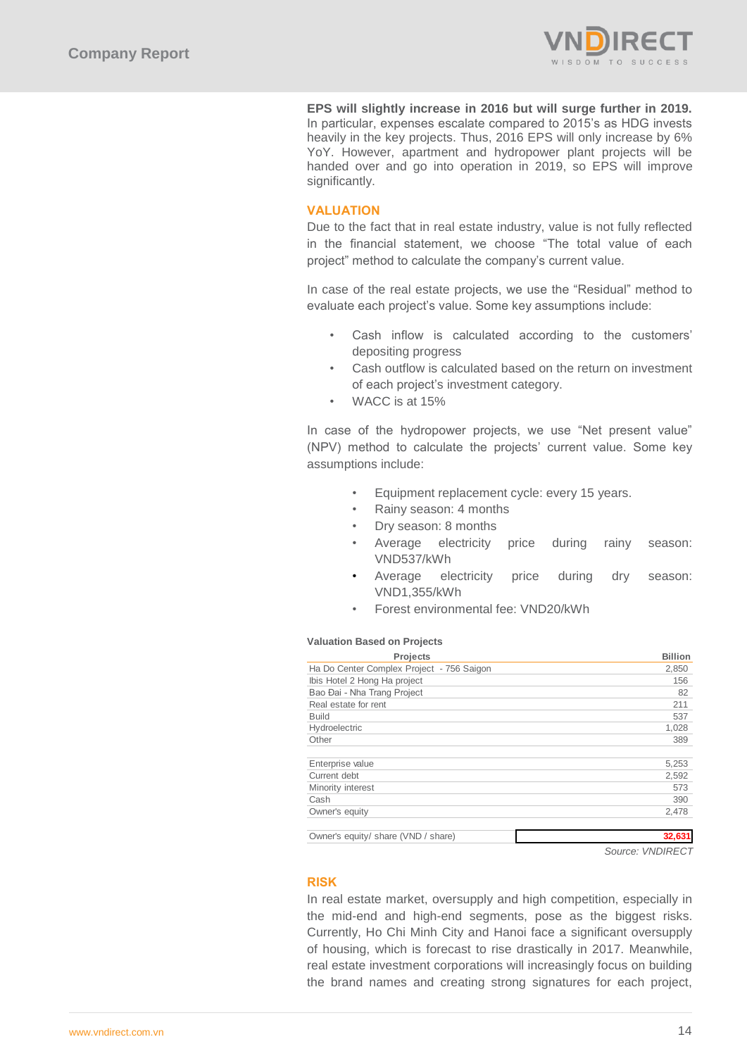

**EPS will slightly increase in 2016 but will surge further in 2019.** In particular, expenses escalate compared to 2015's as HDG invests heavily in the key projects. Thus, 2016 EPS will only increase by 6% YoY. However, apartment and hydropower plant projects will be handed over and go into operation in 2019, so EPS will improve significantly.

# **VALUATION**

Due to the fact that in real estate industry, value is not fully reflected in the financial statement, we choose "The total value of each project" method to calculate the company's current value.

In case of the real estate projects, we use the "Residual" method to evaluate each project's value. Some key assumptions include:

- Cash inflow is calculated according to the customers' depositing progress
- Cash outflow is calculated based on the return on investment of each project's investment category.
- WACC is at 15%

In case of the hydropower projects, we use "Net present value" (NPV) method to calculate the projects' current value. Some key assumptions include:

- Equipment replacement cycle: every 15 years.
- Rainy season: 4 months
- Dry season: 8 months
- Average electricity price during rainy season: VND537/kWh
- Average electricity price during dry season: VND1,355/kWh
- Forest environmental fee: VND20/kWh

### **Valuation Based on Projects**

| <b>Projects</b>                           | <b>Billion</b> |
|-------------------------------------------|----------------|
| Ha Do Center Complex Project - 756 Saigon | 2,850          |
| Ibis Hotel 2 Hong Ha project              | 156            |
| Bao Đai - Nha Trang Project               | 82             |
| Real estate for rent                      | 211            |
| <b>Build</b>                              | 537            |
| Hydroelectric                             | 1,028          |
| Other                                     | 389            |
|                                           |                |
| Enterprise value                          | 5,253          |
| Current debt                              | 2,592          |
| Minority interest                         | 573            |
| Cash                                      | 390            |
| Owner's equity                            | 2.478          |
|                                           |                |

Owner's equity/ share (VND / share) **32,631**

*Source: VNDIRECT*

# **RISK**

In real estate market, oversupply and high competition, especially in the mid-end and high-end segments, pose as the biggest risks. Currently, Ho Chi Minh City and Hanoi face a significant oversupply of housing, which is forecast to rise drastically in 2017. Meanwhile, real estate investment corporations will increasingly focus on building the brand names and creating strong signatures for each project,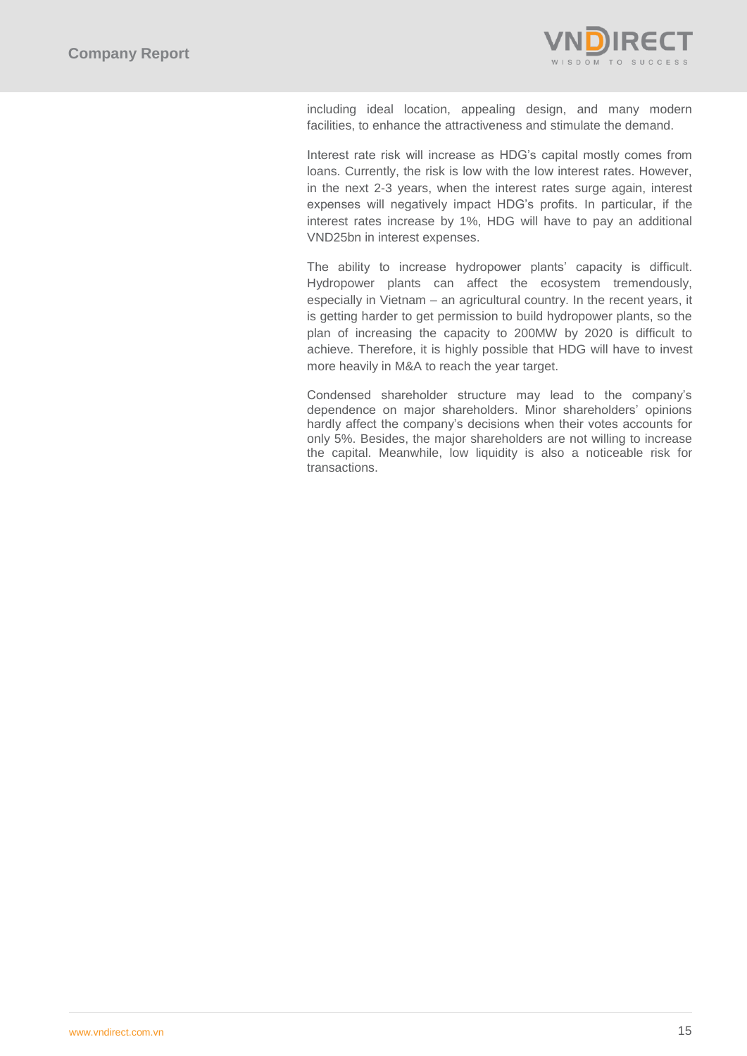

including ideal location, appealing design, and many modern facilities, to enhance the attractiveness and stimulate the demand.

Interest rate risk will increase as HDG's capital mostly comes from loans. Currently, the risk is low with the low interest rates. However, in the next 2-3 years, when the interest rates surge again, interest expenses will negatively impact HDG's profits. In particular, if the interest rates increase by 1%, HDG will have to pay an additional VND25bn in interest expenses.

The ability to increase hydropower plants' capacity is difficult. Hydropower plants can affect the ecosystem tremendously, especially in Vietnam – an agricultural country. In the recent years, it is getting harder to get permission to build hydropower plants, so the plan of increasing the capacity to 200MW by 2020 is difficult to achieve. Therefore, it is highly possible that HDG will have to invest more heavily in M&A to reach the year target.

Condensed shareholder structure may lead to the company's dependence on major shareholders. Minor shareholders' opinions hardly affect the company's decisions when their votes accounts for only 5%. Besides, the major shareholders are not willing to increase the capital. Meanwhile, low liquidity is also a noticeable risk for transactions.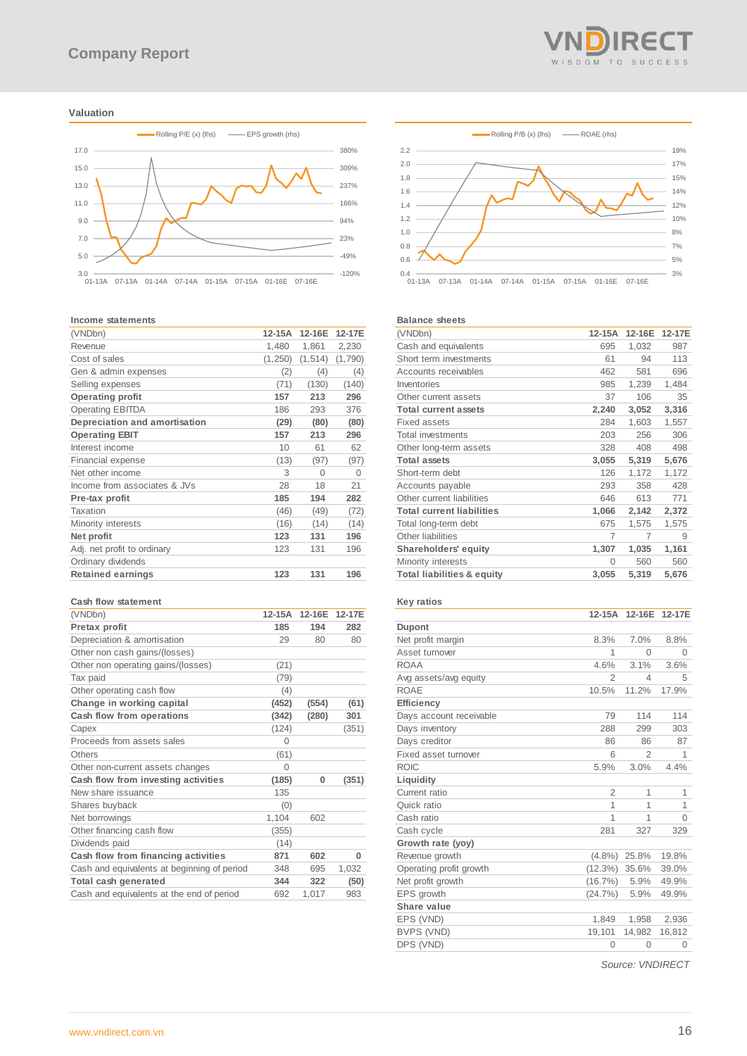### **Valuation**



#### **Income statements**

| (VNDbn)                       | $12 - 15A$ | 12-16E   | 12-17E  |
|-------------------------------|------------|----------|---------|
| Revenue                       | 1,480      | 1,861    | 2,230   |
| Cost of sales                 | (1,250)    | (1, 514) | (1,790) |
| Gen & admin expenses          | (2)        | (4)      | (4)     |
| Selling expenses              | (71)       | (130)    | (140)   |
| <b>Operating profit</b>       | 157        | 213      | 296     |
| <b>Operating EBITDA</b>       | 186        | 293      | 376     |
| Depreciation and amortisation | (29)       | (80)     | (80)    |
| <b>Operating EBIT</b>         | 157        | 213      | 296     |
| Interest income               | 10         | 61       | 62      |
| <b>Financial expense</b>      | (13)       | (97)     | (97)    |
| Net other income              | З          | $\Omega$ | 0       |
| Income from associates & JVs  | 28         | 18       | 21      |
| Pre-tax profit                | 185        | 194      | 282     |
| Taxation                      | (46)       | (49)     | (72)    |
| Minority interests            | (16)       | (14)     | (14)    |
| Net profit                    | 123        | 131      | 196     |
| Adj. net profit to ordinary   | 123        | 131      | 196     |
| Ordinary dividends            |            |          |         |
| <b>Retained earnings</b>      | 123        | 131      | 196     |
|                               |            |          |         |

### **Cash flow statement**

| (VNDbn)                                     | 12-15A   | 12-16E | 12-17E   |
|---------------------------------------------|----------|--------|----------|
| Pretax profit                               | 185      | 194    | 282      |
| Depreciation & amortisation                 | 29       | 80     | 80       |
| Other non cash gains/(losses)               |          |        |          |
| Other non operating gains/(losses)          | (21)     |        |          |
| Tax paid                                    | (79)     |        |          |
| Other operating cash flow                   | (4)      |        |          |
| Change in working capital                   | (452)    | (554)  | (61)     |
| Cash flow from operations                   | (342)    | (280)  | 301      |
| Capex                                       | (124)    |        | (351)    |
| Proceeds from assets sales                  | $\Omega$ |        |          |
| Others                                      | (61)     |        |          |
| Other non-current assets changes            | $\Omega$ |        |          |
| Cash flow from investing activities         | (185)    | 0      | (351)    |
| New share issuance                          | 135      |        |          |
| Shares buyback                              | (0)      |        |          |
| Net borrowings                              | 1,104    | 602    |          |
| Other financing cash flow                   | (355)    |        |          |
| Dividends paid                              | (14)     |        |          |
| Cash flow from financing activities         | 871      | 602    | $\bf{0}$ |
| Cash and equivalents at beginning of period | 348      | 695    | 1,032    |
| Total cash generated                        | 344      | 322    | (50)     |
| Cash and equivalents at the end of period   | 692      | 1,017  | 983      |





#### **Balance sheets**

| (VNDbn)                               | $12-15A$ | 12-16E | 12-17E |
|---------------------------------------|----------|--------|--------|
| Cash and equivalents                  | 695      | 1,032  | 987    |
| Short term investments                | 61       | 94     | 113    |
| Accounts receivables                  | 462      | 581    | 696    |
| Inventories                           | 985      | 1,239  | 1,484  |
| Other current assets                  | 37       | 106    | 35     |
| <b>Total current assets</b>           | 2,240    | 3,052  | 3,316  |
| <b>Fixed assets</b>                   | 284      | 1,603  | 1,557  |
| <b>Total investments</b>              | 203      | 256    | 306    |
| Other long-term assets                | 328      | 408    | 498    |
| <b>Total assets</b>                   | 3,055    | 5,319  | 5,676  |
| Short-term debt                       | 126      | 1,172  | 1,172  |
| Accounts payable                      | 293      | 358    | 428    |
| Other current liabilities             | 646      | 613    | 771    |
| <b>Total current liabilities</b>      | 1,066    | 2,142  | 2,372  |
| Total long-term debt                  | 675      | 1,575  | 1,575  |
| Other liabilities                     | 7        | 7      | 9      |
| Shareholders' equity                  | 1,307    | 1,035  | 1,161  |
| Minority interests                    | $\Omega$ | 560    | 560    |
| <b>Total liabilities &amp; equity</b> | 3,055    | 5,319  | 5,676  |
|                                       |          |        |        |

# **Key ratios**

|                         | 12-15A         | 12-16E         | 12-17E   |
|-------------------------|----------------|----------------|----------|
| Dupont                  |                |                |          |
| Net profit margin       | 8.3%           | 7.0%           | 8.8%     |
| Asset turnover          | 1              | $\Omega$       | 0        |
| <b>ROAA</b>             | 4.6%           | 3.1%           | 3.6%     |
| Avg assets/avg equity   | $\overline{2}$ | 4              | 5        |
| <b>ROAE</b>             | 10.5%          | 11.2%          | 17.9%    |
| Efficiency              |                |                |          |
| Days account receivable | 79             | 114            | 114      |
| Days inventory          | 288            | 299            | 303      |
| Days creditor           | 86             | 86             | 87       |
| Fixed asset turnover    | 6              | $\mathfrak{D}$ | 1        |
| <b>ROIC</b>             | 5.9%           | 3.0%           | 4.4%     |
| Liquidity               |                |                |          |
| Current ratio           | $\overline{2}$ | 1              | 1        |
| Quick ratio             | 1              | 1              | 1        |
| Cash ratio              | 1              | 1              | $\Omega$ |
| Cash cycle              | 281            | 327            | 329      |
| Growth rate (yoy)       |                |                |          |
| Revenue growth          | $(4.8\%)$      | 25.8%          | 19.8%    |
| Operating profit growth | $(12.3\%)$     | 35.6%          | 39.0%    |
| Net profit growth       | $(16.7\%)$     | 5.9%           | 49.9%    |
| EPS growth              | (24.7%)        | 5.9%           | 49.9%    |
| Share value             |                |                |          |
| EPS (VND)               | 1.849          | 1,958          | 2,936    |
| BVPS (VND)              | 19,101         | 14,982         | 16,812   |
| DPS (VND)               | $\Omega$       | 0              | 0        |

*Source: VNDIRECT*